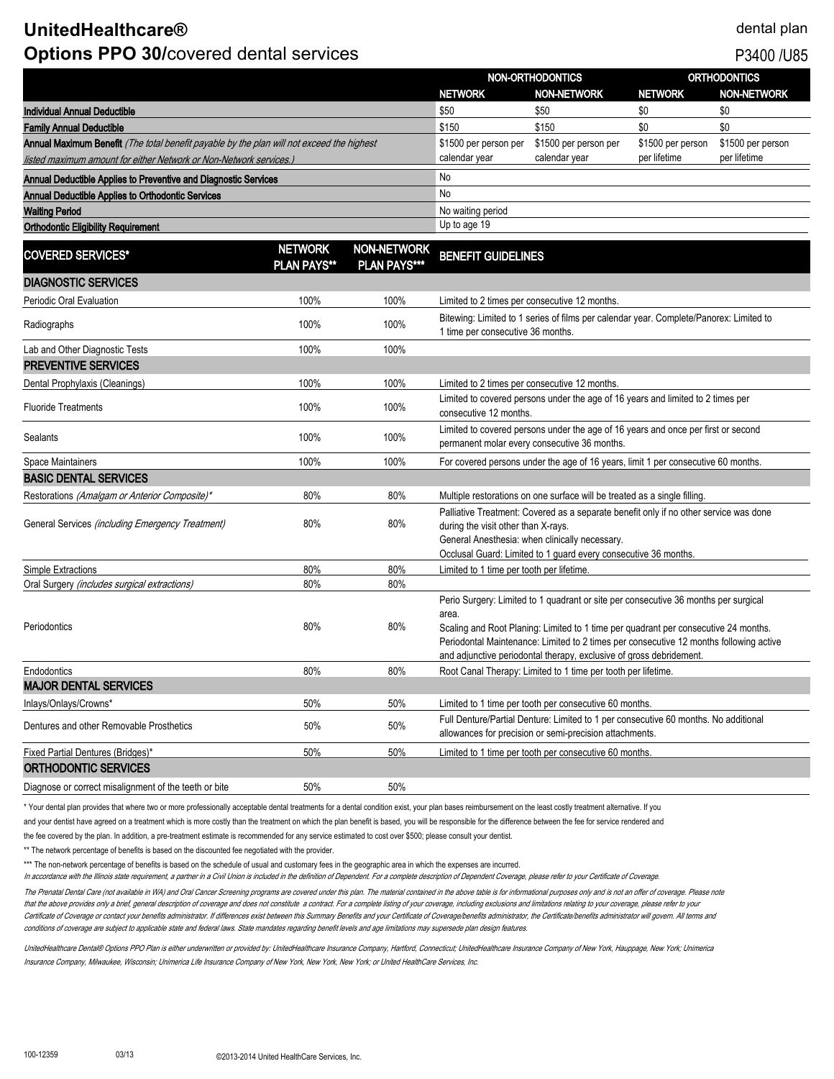# **UnitedHealthcare®** dental plan **Options PPO 30/covered dental services** P3400 /U85

|                                                                                           |                                      |                                           | NON-ORTHODONTICS                                                                                                                                                                                                                                                                                                                                     |                       | <b>ORTHODONTICS</b> |                    |
|-------------------------------------------------------------------------------------------|--------------------------------------|-------------------------------------------|------------------------------------------------------------------------------------------------------------------------------------------------------------------------------------------------------------------------------------------------------------------------------------------------------------------------------------------------------|-----------------------|---------------------|--------------------|
|                                                                                           |                                      |                                           | <b>NETWORK</b>                                                                                                                                                                                                                                                                                                                                       | <b>NON-NETWORK</b>    | <b>NETWORK</b>      | <b>NON-NETWORK</b> |
| Individual Annual Deductible                                                              |                                      |                                           | \$50                                                                                                                                                                                                                                                                                                                                                 | \$50                  | \$0                 | \$0                |
| <b>Family Annual Deductible</b>                                                           |                                      |                                           | \$150                                                                                                                                                                                                                                                                                                                                                | \$150                 | \$0                 | \$0                |
| Annual Maximum Benefit (The total benefit payable by the plan will not exceed the highest |                                      |                                           | \$1500 per person per                                                                                                                                                                                                                                                                                                                                | \$1500 per person per | \$1500 per person   | \$1500 per person  |
| listed maximum amount for either Network or Non-Network services.)                        |                                      |                                           | calendar year                                                                                                                                                                                                                                                                                                                                        | calendar year         | per lifetime        | per lifetime       |
| Annual Deductible Applies to Preventive and Diagnostic Services                           |                                      |                                           | No                                                                                                                                                                                                                                                                                                                                                   |                       |                     |                    |
| Annual Deductible Applies to Orthodontic Services                                         |                                      |                                           | No                                                                                                                                                                                                                                                                                                                                                   |                       |                     |                    |
| <b>Waiting Period</b>                                                                     |                                      |                                           | No waiting period                                                                                                                                                                                                                                                                                                                                    |                       |                     |                    |
| <b>Orthodontic Eligibility Requirement</b>                                                |                                      |                                           | Up to age 19                                                                                                                                                                                                                                                                                                                                         |                       |                     |                    |
| <b>COVERED SERVICES*</b>                                                                  | <b>NETWORK</b><br><b>PLAN PAYS**</b> | <b>NON-NETWORK</b><br><b>PLAN PAYS***</b> | <b>BENEFIT GUIDELINES</b>                                                                                                                                                                                                                                                                                                                            |                       |                     |                    |
| <b>DIAGNOSTIC SERVICES</b>                                                                |                                      |                                           |                                                                                                                                                                                                                                                                                                                                                      |                       |                     |                    |
| Periodic Oral Evaluation                                                                  | 100%                                 | 100%                                      | Limited to 2 times per consecutive 12 months.                                                                                                                                                                                                                                                                                                        |                       |                     |                    |
| Radiographs                                                                               | 100%                                 | 100%                                      | Bitewing: Limited to 1 series of films per calendar year. Complete/Panorex: Limited to<br>1 time per consecutive 36 months.                                                                                                                                                                                                                          |                       |                     |                    |
| Lab and Other Diagnostic Tests                                                            | 100%                                 | 100%                                      |                                                                                                                                                                                                                                                                                                                                                      |                       |                     |                    |
| <b>PREVENTIVE SERVICES</b>                                                                |                                      |                                           |                                                                                                                                                                                                                                                                                                                                                      |                       |                     |                    |
| Dental Prophylaxis (Cleanings)                                                            | 100%                                 | 100%                                      | Limited to 2 times per consecutive 12 months.                                                                                                                                                                                                                                                                                                        |                       |                     |                    |
| <b>Fluoride Treatments</b>                                                                | 100%                                 | 100%                                      | Limited to covered persons under the age of 16 years and limited to 2 times per<br>consecutive 12 months.                                                                                                                                                                                                                                            |                       |                     |                    |
| Sealants                                                                                  | 100%                                 | 100%                                      | Limited to covered persons under the age of 16 years and once per first or second<br>permanent molar every consecutive 36 months.                                                                                                                                                                                                                    |                       |                     |                    |
| Space Maintainers                                                                         | 100%                                 | 100%                                      | For covered persons under the age of 16 years, limit 1 per consecutive 60 months.                                                                                                                                                                                                                                                                    |                       |                     |                    |
| <b>BASIC DENTAL SERVICES</b>                                                              |                                      |                                           |                                                                                                                                                                                                                                                                                                                                                      |                       |                     |                    |
| Restorations (Amalgam or Anterior Composite)*                                             | 80%                                  | 80%                                       | Multiple restorations on one surface will be treated as a single filling.                                                                                                                                                                                                                                                                            |                       |                     |                    |
| General Services (including Emergency Treatment)                                          | 80%                                  | 80%                                       | Palliative Treatment: Covered as a separate benefit only if no other service was done<br>during the visit other than X-rays.<br>General Anesthesia: when clinically necessary.<br>Occlusal Guard: Limited to 1 guard every consecutive 36 months.                                                                                                    |                       |                     |                    |
| Simple Extractions                                                                        | 80%                                  | 80%                                       | Limited to 1 time per tooth per lifetime                                                                                                                                                                                                                                                                                                             |                       |                     |                    |
| Oral Surgery (includes surgical extractions)                                              | 80%                                  | 80%                                       |                                                                                                                                                                                                                                                                                                                                                      |                       |                     |                    |
| Periodontics                                                                              | 80%                                  | 80%                                       | Perio Surgery: Limited to 1 quadrant or site per consecutive 36 months per surgical<br>area.<br>Scaling and Root Planing: Limited to 1 time per quadrant per consecutive 24 months.<br>Periodontal Maintenance: Limited to 2 times per consecutive 12 months following active<br>and adjunctive periodontal therapy, exclusive of gross debridement. |                       |                     |                    |
| Endodontics                                                                               | 80%                                  | 80%                                       | Root Canal Therapy: Limited to 1 time per tooth per lifetime.                                                                                                                                                                                                                                                                                        |                       |                     |                    |
| <b>MAJOR DENTAL SERVICES</b>                                                              |                                      |                                           |                                                                                                                                                                                                                                                                                                                                                      |                       |                     |                    |
| Inlays/Onlays/Crowns*                                                                     | 50%                                  | 50%                                       | Limited to 1 time per tooth per consecutive 60 months.                                                                                                                                                                                                                                                                                               |                       |                     |                    |
| Dentures and other Removable Prosthetics                                                  | 50%                                  | 50%                                       | Full Denture/Partial Denture: Limited to 1 per consecutive 60 months. No additional<br>allowances for precision or semi-precision attachments.                                                                                                                                                                                                       |                       |                     |                    |
| <b>Fixed Partial Dentures (Bridges)*</b>                                                  | 50%                                  | 50%                                       | Limited to 1 time per tooth per consecutive 60 months.                                                                                                                                                                                                                                                                                               |                       |                     |                    |
| ORTHODONTIC SERVICES                                                                      |                                      |                                           |                                                                                                                                                                                                                                                                                                                                                      |                       |                     |                    |
| Diagnose or correct misalignment of the teeth or bite                                     | 50%                                  | 50%                                       |                                                                                                                                                                                                                                                                                                                                                      |                       |                     |                    |

\* Your dental plan provides that where two or more professionally acceptable dental treatments for a dental condition exist, your plan bases reimbursement on the least costly treatment alternative. If you

and your dentist have agreed on a treatment which is more costly than the treatment on which the plan benefit is based, you will be responsible for the difference between the fee for service rendered and

the fee covered by the plan. In addition, a pre-treatment estimate is recommended for any service estimated to cost over \$500; please consult your dentist.

\*\* The network percentage of benefits is based on the discounted fee negotiated with the provider.

\*\*\* The non-network percentage of benefits is based on the schedule of usual and customary fees in the geographic area in which the expenses are incurred.

In accordance with the Illinois state requirement, a partner in a Civil Union is included in the definition of Dependent. For a complete description of Dependent Coverage, please refer to your Certificate of Coverage.

The Prenatal Dental Care (not available in WA) and Oral Cancer Screening programs are covered under this plan. The material contained in the above table is for informational purposes only and is not an offer of coverage. P that the above provides only a brief, general description of coverage and does not constitute a contract. For a complete listing of your coverage, including exclusions and limitations relating to your coverage, please refe Certificate of Coverage or contact your benefits administrator. If differences exist between this Summary Benefits and your Certificate of Coverage/benefits administrator, the Certificate/benefits administrator will govern conditions of coverage are subject to applicable state and federal laws. State mandates regarding benefit levels and age limitations may supersede plan design features.

UnitedHealthcare Dental® Options PPO Plan is either underwritten or provided by: UnitedHealthcare Insurance Company, Hartford, Connecticut; UnitedHealthcare Insurance Company of New York, Hauppage, New York; Unimerica Insurance Company, Milwaukee, Wisconsin; Unimerica Life Insurance Company of New York, New York, New York; or United HealthCare Services, Inc.